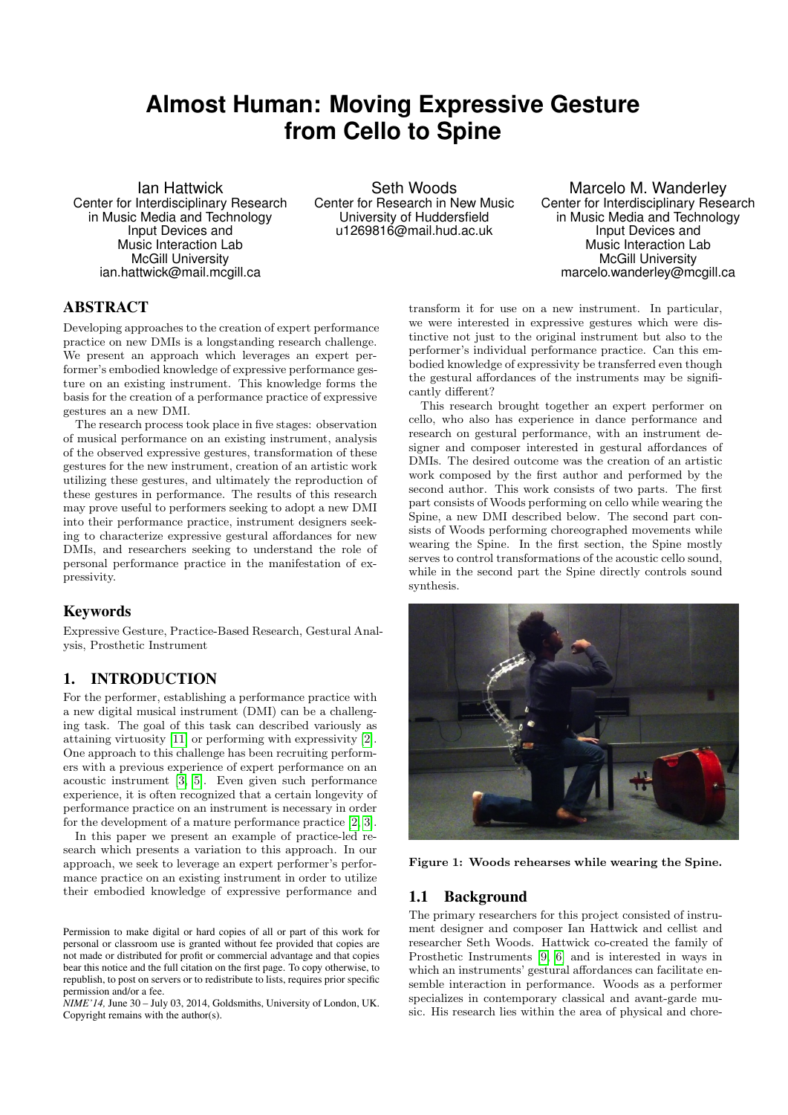# **Almost Human: Moving Expressive Gesture from Cello to Spine**

Ian Hattwick Center for Interdisciplinary Research in Music Media and Technology Input Devices and Music Interaction Lab McGill University ian.hattwick@mail.mcgill.ca

Seth Woods Center for Research in New Music University of Huddersfield u1269816@mail.hud.ac.uk

Marcelo M. Wanderley Center for Interdisciplinary Research in Music Media and Technology Input Devices and Music Interaction Lab McGill University marcelo.wanderley@mcgill.ca

## ABSTRACT

Developing approaches to the creation of expert performance practice on new DMIs is a longstanding research challenge. We present an approach which leverages an expert performer's embodied knowledge of expressive performance gesture on an existing instrument. This knowledge forms the basis for the creation of a performance practice of expressive gestures an a new DMI.

The research process took place in five stages: observation of musical performance on an existing instrument, analysis of the observed expressive gestures, transformation of these gestures for the new instrument, creation of an artistic work utilizing these gestures, and ultimately the reproduction of these gestures in performance. The results of this research may prove useful to performers seeking to adopt a new DMI into their performance practice, instrument designers seeking to characterize expressive gestural affordances for new DMIs, and researchers seeking to understand the role of personal performance practice in the manifestation of expressivity.

## Keywords

Expressive Gesture, Practice-Based Research, Gestural Analysis, Prosthetic Instrument

# 1. INTRODUCTION

For the performer, establishing a performance practice with a new digital musical instrument (DMI) can be a challenging task. The goal of this task can described variously as attaining virtuosity [\[11\]](#page-3-0) or performing with expressivity [\[2\]](#page-3-1). One approach to this challenge has been recruiting performers with a previous experience of expert performance on an acoustic instrument [\[3,](#page-3-2) [5\]](#page-3-3). Even given such performance experience, it is often recognized that a certain longevity of performance practice on an instrument is necessary in order for the development of a mature performance practice [\[2,](#page-3-1) [3\]](#page-3-2).

In this paper we present an example of practice-led research which presents a variation to this approach. In our approach, we seek to leverage an expert performer's performance practice on an existing instrument in order to utilize their embodied knowledge of expressive performance and

*NIME'14,* June 30 – July 03, 2014, Goldsmiths, University of London, UK. Copyright remains with the author(s).

transform it for use on a new instrument. In particular, we were interested in expressive gestures which were distinctive not just to the original instrument but also to the performer's individual performance practice. Can this embodied knowledge of expressivity be transferred even though the gestural affordances of the instruments may be significantly different?

This research brought together an expert performer on cello, who also has experience in dance performance and research on gestural performance, with an instrument designer and composer interested in gestural affordances of DMIs. The desired outcome was the creation of an artistic work composed by the first author and performed by the second author. This work consists of two parts. The first part consists of Woods performing on cello while wearing the Spine, a new DMI described below. The second part consists of Woods performing choreographed movements while wearing the Spine. In the first section, the Spine mostly serves to control transformations of the acoustic cello sound, while in the second part the Spine directly controls sound synthesis.



Figure 1: Woods rehearses while wearing the Spine.

#### <span id="page-0-0"></span>1.1 Background

The primary researchers for this project consisted of instrument designer and composer Ian Hattwick and cellist and researcher Seth Woods. Hattwick co-created the family of Prosthetic Instruments [\[9,](#page-3-4) [6\]](#page-3-5) and is interested in ways in which an instruments' gestural affordances can facilitate ensemble interaction in performance. Woods as a performer specializes in contemporary classical and avant-garde music. His research lies within the area of physical and chore-

Permission to make digital or hard copies of all or part of this work for personal or classroom use is granted without fee provided that copies are not made or distributed for profit or commercial advantage and that copies bear this notice and the full citation on the first page. To copy otherwise, to republish, to post on servers or to redistribute to lists, requires prior specific permission and/or a fee.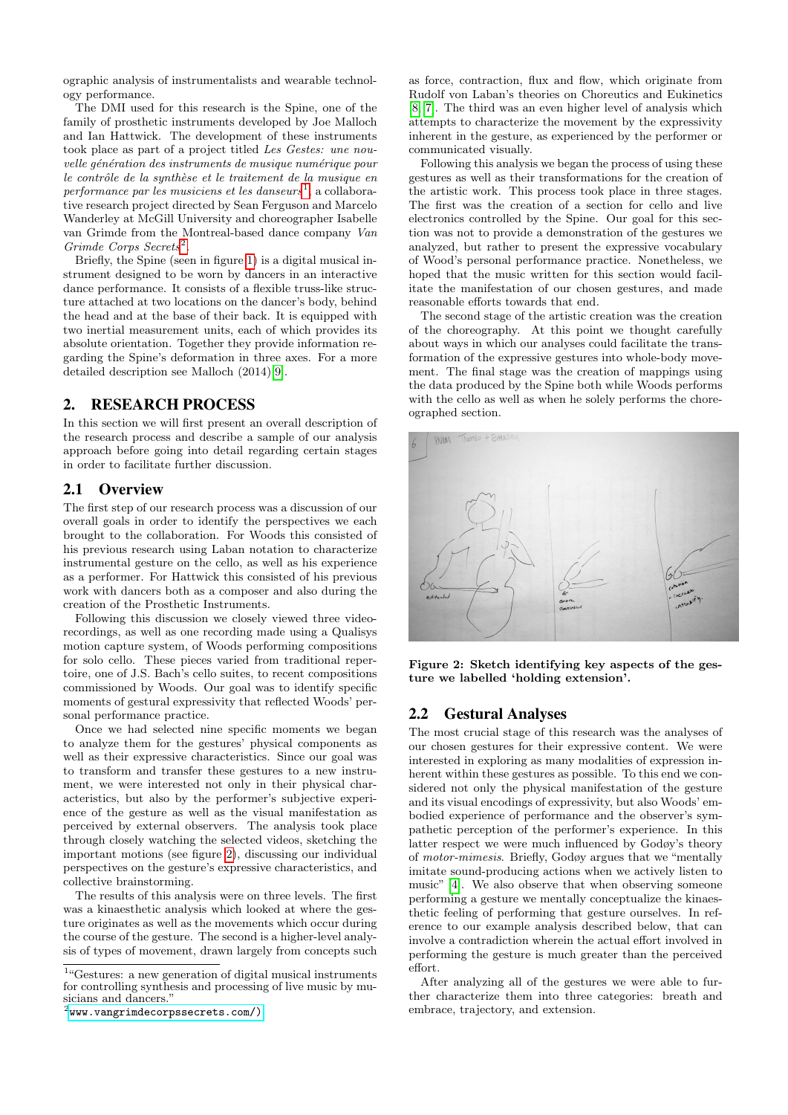ographic analysis of instrumentalists and wearable technology performance.

The DMI used for this research is the Spine, one of the family of prosthetic instruments developed by Joe Malloch and Ian Hattwick. The development of these instruments took place as part of a project titled Les Gestes: une nouvelle génération des instruments de musique numérique pour le contrôle de la synthèse et le traitement de la musique en  $performance$  par les musiciens et les danseurs<sup>[1](#page-1-0)</sup>, a collaborative research project directed by Sean Ferguson and Marcelo Wanderley at McGill University and choreographer Isabelle van Grimde from the Montreal-based dance company Van Grimde Corps Secrets<sup>[2](#page-1-1)</sup>.

Briefly, the Spine (seen in figure [1\)](#page-0-0) is a digital musical instrument designed to be worn by dancers in an interactive dance performance. It consists of a flexible truss-like structure attached at two locations on the dancer's body, behind the head and at the base of their back. It is equipped with two inertial measurement units, each of which provides its absolute orientation. Together they provide information regarding the Spine's deformation in three axes. For a more detailed description see Malloch (2014)[\[9\]](#page-3-4).

## 2. RESEARCH PROCESS

In this section we will first present an overall description of the research process and describe a sample of our analysis approach before going into detail regarding certain stages in order to facilitate further discussion.

#### 2.1 Overview

The first step of our research process was a discussion of our overall goals in order to identify the perspectives we each brought to the collaboration. For Woods this consisted of his previous research using Laban notation to characterize instrumental gesture on the cello, as well as his experience as a performer. For Hattwick this consisted of his previous work with dancers both as a composer and also during the creation of the Prosthetic Instruments.

Following this discussion we closely viewed three videorecordings, as well as one recording made using a Qualisys motion capture system, of Woods performing compositions for solo cello. These pieces varied from traditional repertoire, one of J.S. Bach's cello suites, to recent compositions commissioned by Woods. Our goal was to identify specific moments of gestural expressivity that reflected Woods' personal performance practice.

Once we had selected nine specific moments we began to analyze them for the gestures' physical components as well as their expressive characteristics. Since our goal was to transform and transfer these gestures to a new instrument, we were interested not only in their physical characteristics, but also by the performer's subjective experience of the gesture as well as the visual manifestation as perceived by external observers. The analysis took place through closely watching the selected videos, sketching the important motions (see figure [2\)](#page-1-2), discussing our individual perspectives on the gesture's expressive characteristics, and collective brainstorming.

The results of this analysis were on three levels. The first was a kinaesthetic analysis which looked at where the gesture originates as well as the movements which occur during the course of the gesture. The second is a higher-level analysis of types of movement, drawn largely from concepts such

<span id="page-1-0"></span><sup>1</sup>"Gestures: a new generation of digital musical instruments for controlling synthesis and processing of live music by musicians and dancers.

<span id="page-1-1"></span> $^{2}$ [www.vangrimdecorpssecrets.com/\)](www.vangrimdecorpssecrets.com/))

as force, contraction, flux and flow, which originate from Rudolf von Laban's theories on Choreutics and Eukinetics [\[8,](#page-3-6) [7\]](#page-3-7). The third was an even higher level of analysis which attempts to characterize the movement by the expressivity inherent in the gesture, as experienced by the performer or communicated visually.

Following this analysis we began the process of using these gestures as well as their transformations for the creation of the artistic work. This process took place in three stages. The first was the creation of a section for cello and live electronics controlled by the Spine. Our goal for this section was not to provide a demonstration of the gestures we analyzed, but rather to present the expressive vocabulary of Wood's personal performance practice. Nonetheless, we hoped that the music written for this section would facilitate the manifestation of our chosen gestures, and made reasonable efforts towards that end.

The second stage of the artistic creation was the creation of the choreography. At this point we thought carefully about ways in which our analyses could facilitate the transformation of the expressive gestures into whole-body movement. The final stage was the creation of mappings using the data produced by the Spine both while Woods performs with the cello as well as when he solely performs the choreographed section.



<span id="page-1-2"></span>Figure 2: Sketch identifying key aspects of the gesture we labelled 'holding extension'.

#### 2.2 Gestural Analyses

The most crucial stage of this research was the analyses of our chosen gestures for their expressive content. We were interested in exploring as many modalities of expression inherent within these gestures as possible. To this end we considered not only the physical manifestation of the gesture and its visual encodings of expressivity, but also Woods' embodied experience of performance and the observer's sympathetic perception of the performer's experience. In this latter respect we were much influenced by Godøy's theory of motor-mimesis. Briefly, Godøy argues that we "mentally imitate sound-producing actions when we actively listen to music" [\[4\]](#page-3-8). We also observe that when observing someone performing a gesture we mentally conceptualize the kinaesthetic feeling of performing that gesture ourselves. In reference to our example analysis described below, that can involve a contradiction wherein the actual effort involved in performing the gesture is much greater than the perceived effort.

After analyzing all of the gestures we were able to further characterize them into three categories: breath and embrace, trajectory, and extension.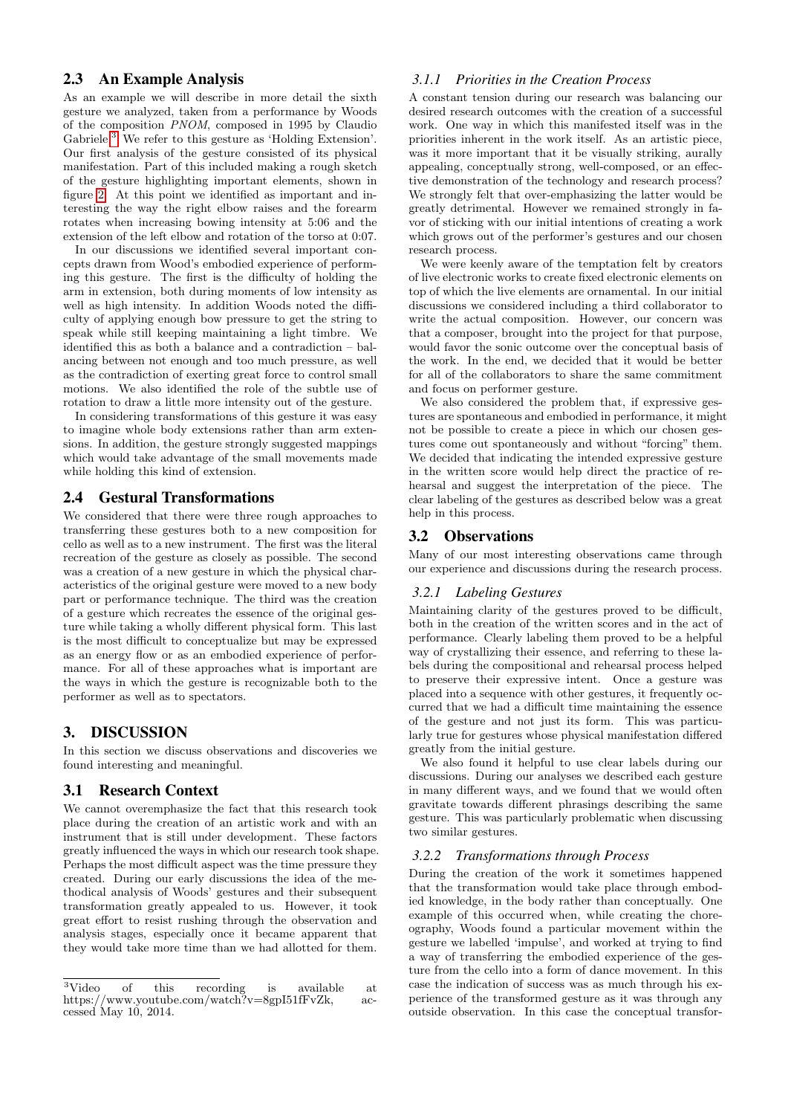#### 2.3 An Example Analysis

As an example we will describe in more detail the sixth gesture we analyzed, taken from a performance by Woods of the composition PNOM, composed in 1995 by Claudio Gabriele.<sup>[3](#page-2-0)</sup> We refer to this gesture as 'Holding Extension'. Our first analysis of the gesture consisted of its physical manifestation. Part of this included making a rough sketch of the gesture highlighting important elements, shown in figure [2.](#page-1-2) At this point we identified as important and interesting the way the right elbow raises and the forearm rotates when increasing bowing intensity at 5:06 and the extension of the left elbow and rotation of the torso at 0:07.

In our discussions we identified several important concepts drawn from Wood's embodied experience of performing this gesture. The first is the difficulty of holding the arm in extension, both during moments of low intensity as well as high intensity. In addition Woods noted the difficulty of applying enough bow pressure to get the string to speak while still keeping maintaining a light timbre. We identified this as both a balance and a contradiction – balancing between not enough and too much pressure, as well as the contradiction of exerting great force to control small motions. We also identified the role of the subtle use of rotation to draw a little more intensity out of the gesture.

In considering transformations of this gesture it was easy to imagine whole body extensions rather than arm extensions. In addition, the gesture strongly suggested mappings which would take advantage of the small movements made while holding this kind of extension.

#### 2.4 Gestural Transformations

We considered that there were three rough approaches to transferring these gestures both to a new composition for cello as well as to a new instrument. The first was the literal recreation of the gesture as closely as possible. The second was a creation of a new gesture in which the physical characteristics of the original gesture were moved to a new body part or performance technique. The third was the creation of a gesture which recreates the essence of the original gesture while taking a wholly different physical form. This last is the most difficult to conceptualize but may be expressed as an energy flow or as an embodied experience of performance. For all of these approaches what is important are the ways in which the gesture is recognizable both to the performer as well as to spectators.

#### 3. DISCUSSION

In this section we discuss observations and discoveries we found interesting and meaningful.

## 3.1 Research Context

We cannot overemphasize the fact that this research took place during the creation of an artistic work and with an instrument that is still under development. These factors greatly influenced the ways in which our research took shape. Perhaps the most difficult aspect was the time pressure they created. During our early discussions the idea of the methodical analysis of Woods' gestures and their subsequent transformation greatly appealed to us. However, it took great effort to resist rushing through the observation and analysis stages, especially once it became apparent that they would take more time than we had allotted for them.

#### *3.1.1 Priorities in the Creation Process*

A constant tension during our research was balancing our desired research outcomes with the creation of a successful work. One way in which this manifested itself was in the priorities inherent in the work itself. As an artistic piece, was it more important that it be visually striking, aurally appealing, conceptually strong, well-composed, or an effective demonstration of the technology and research process? We strongly felt that over-emphasizing the latter would be greatly detrimental. However we remained strongly in favor of sticking with our initial intentions of creating a work which grows out of the performer's gestures and our chosen research process.

We were keenly aware of the temptation felt by creators of live electronic works to create fixed electronic elements on top of which the live elements are ornamental. In our initial discussions we considered including a third collaborator to write the actual composition. However, our concern was that a composer, brought into the project for that purpose, would favor the sonic outcome over the conceptual basis of the work. In the end, we decided that it would be better for all of the collaborators to share the same commitment and focus on performer gesture.

We also considered the problem that, if expressive gestures are spontaneous and embodied in performance, it might not be possible to create a piece in which our chosen gestures come out spontaneously and without "forcing" them. We decided that indicating the intended expressive gesture in the written score would help direct the practice of rehearsal and suggest the interpretation of the piece. The clear labeling of the gestures as described below was a great help in this process.

#### 3.2 Observations

Many of our most interesting observations came through our experience and discussions during the research process.

#### *3.2.1 Labeling Gestures*

Maintaining clarity of the gestures proved to be difficult, both in the creation of the written scores and in the act of performance. Clearly labeling them proved to be a helpful way of crystallizing their essence, and referring to these labels during the compositional and rehearsal process helped to preserve their expressive intent. Once a gesture was placed into a sequence with other gestures, it frequently occurred that we had a difficult time maintaining the essence of the gesture and not just its form. This was particularly true for gestures whose physical manifestation differed greatly from the initial gesture.

We also found it helpful to use clear labels during our discussions. During our analyses we described each gesture in many different ways, and we found that we would often gravitate towards different phrasings describing the same gesture. This was particularly problematic when discussing two similar gestures.

#### *3.2.2 Transformations through Process*

During the creation of the work it sometimes happened that the transformation would take place through embodied knowledge, in the body rather than conceptually. One example of this occurred when, while creating the choreography, Woods found a particular movement within the gesture we labelled 'impulse', and worked at trying to find a way of transferring the embodied experience of the gesture from the cello into a form of dance movement. In this case the indication of success was as much through his experience of the transformed gesture as it was through any outside observation. In this case the conceptual transfor-

<span id="page-2-0"></span><sup>&</sup>lt;sup>3</sup>Video of this recording is available at https://www.youtube.com/watch?v=8gpI51fFvZk, accessed May 10, 2014.